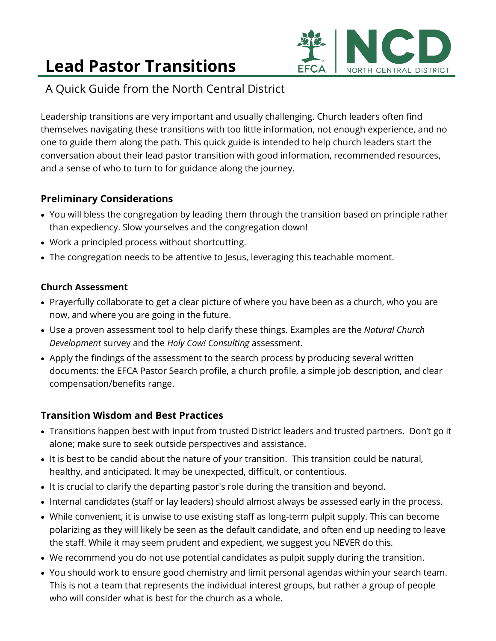# **Lead Pastor Transitions**



# A Quick Guide from the North Central District

Leadership transitions are very important and usually challenging. Church leaders often find themselves navigating these transitions with too little information, not enough experience, and no one to guide them along the path. This quick guide is intended to help church leaders start the conversation about their lead pastor transition with good information, recommended resources, and a sense of who to turn to for guidance along the journey.

# **Preliminary Considerations**

- You will bless the congregation by leading them through the transition based on principle rather than expediency. Slow yourselves and the congregation down!
- Work a principled process without shortcutting.
- The congregation needs to be attentive to Jesus, leveraging this teachable moment.

#### **Church Assessment**

- Prayerfully collaborate to get a clear picture of where you have been as a church, who you are now, and where you are going in the future.
- Use a proven assessment tool to help clarify these things. Examples are the *Natural Church Development* survey and the *Holy Cow! Consulting* assessment.
- Apply the findings of the assessment to the search process by producing several written documents: the EFCA Pastor Search profile, a church profile, a simple job description, and clear compensation/benefits range.

## **Transition Wisdom and Best Practices**

- Transitions happen best with input from trusted District leaders and trusted partners. Don't go it alone; make sure to seek outside perspectives and assistance.
- It is best to be candid about the nature of your transition. This transition could be natural, healthy, and anticipated. It may be unexpected, difficult, or contentious.
- It is crucial to clarify the departing pastor's role during the transition and beyond.
- Internal candidates (staff or lay leaders) should almost always be assessed early in the process.
- While convenient, it is unwise to use existing staff as long-term pulpit supply. This can become polarizing as they will likely be seen as the default candidate, and often end up needing to leave the staff. While it may seem prudent and expedient, we suggest you NEVER do this.
- We recommend you do not use potential candidates as pulpit supply during the transition.
- You should work to ensure good chemistry and limit personal agendas within your search team. This is not a team that represents the individual interest groups, but rather a group of people who will consider what is best for the church as a whole.